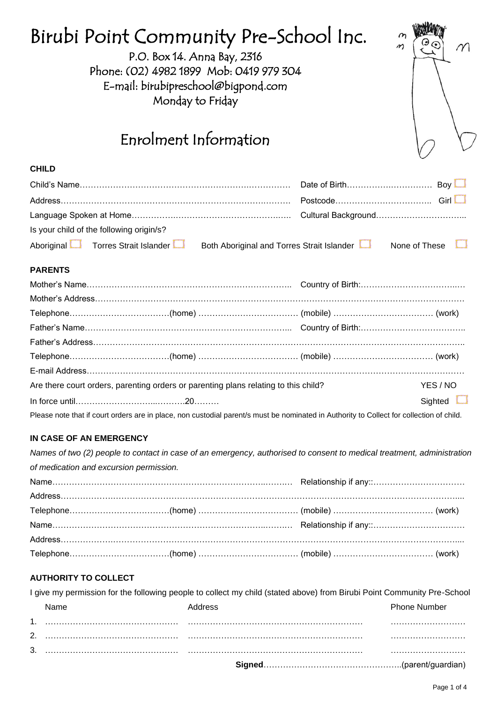| Birubi Point Community Pre-School Inc.<br>P.O. Box 14. Anna Bay, 2316<br>Phone: (02) 4982 1899 Mob: 0419 979 304<br>E-mail: birubipreschool@bigpond.com<br>Monday to Friday<br>Enrolment Information | $\boldsymbol{\eta}$<br>m |
|------------------------------------------------------------------------------------------------------------------------------------------------------------------------------------------------------|--------------------------|
| <b>CHILD</b>                                                                                                                                                                                         |                          |
|                                                                                                                                                                                                      |                          |
|                                                                                                                                                                                                      |                          |
|                                                                                                                                                                                                      |                          |
|                                                                                                                                                                                                      |                          |
| Is your child of the following origin/s?                                                                                                                                                             |                          |
| Aboriginal<br>Torres Strait Islander<br>Both Aboriginal and Torres Strait Islander                                                                                                                   | None of These            |
| <b>PARENTS</b>                                                                                                                                                                                       |                          |
|                                                                                                                                                                                                      |                          |
|                                                                                                                                                                                                      |                          |
|                                                                                                                                                                                                      |                          |
|                                                                                                                                                                                                      |                          |
|                                                                                                                                                                                                      |                          |
|                                                                                                                                                                                                      |                          |
|                                                                                                                                                                                                      |                          |
| Are there court orders, parenting orders or parenting plans relating to this child?                                                                                                                  | YES / NO                 |
|                                                                                                                                                                                                      | Sighted <b>L</b>         |
| Please note that if court orders are in place, non custodial parent/s must be nominated in Authority to Collect for collection of child.                                                             |                          |
| IN CASE OF AN EMERGENCY<br>Names of two (2) people to contact in case of an emergency, authorised to consent to medical treatment, administration<br>of medication and excursion permission.         |                          |
|                                                                                                                                                                                                      |                          |
|                                                                                                                                                                                                      |                          |
|                                                                                                                                                                                                      |                          |
|                                                                                                                                                                                                      |                          |
|                                                                                                                                                                                                      |                          |
|                                                                                                                                                                                                      |                          |
|                                                                                                                                                                                                      |                          |
| <b>AUTHORITY TO COLLECT</b>                                                                                                                                                                          |                          |
| I give my permission for the following people to collect my child (stated above) from Birubi Point Community Pre-School<br>Address<br>Name                                                           | <b>Phone Number</b>      |
|                                                                                                                                                                                                      |                          |

|  | <b>ned</b> …………………………………………………(parent/ |  |
|--|----------------------------------------|--|
|  |                                        |  |
|  |                                        |  |
|  |                                        |  |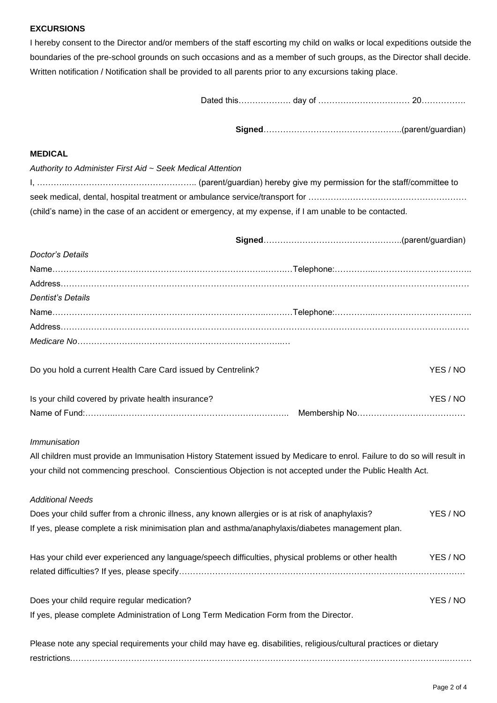#### **EXCURSIONS**

I hereby consent to the Director and/or members of the staff escorting my child on walks or local expeditions outside the boundaries of the pre-school grounds on such occasions and as a member of such groups, as the Director shall decide. Written notification / Notification shall be provided to all parents prior to any excursions taking place.

Dated this………………. day of …………………………… 20…………….

**Signed**…………………………………………..(parent/guardian)

## **MEDICAL**

| Authority to Administer First Aid ~ Seek Medical Attention                                             |
|--------------------------------------------------------------------------------------------------------|
|                                                                                                        |
|                                                                                                        |
| (child's name) in the case of an accident or emergency, at my expense, if I am unable to be contacted. |

| Doctor's Details                                                                                                         |          |
|--------------------------------------------------------------------------------------------------------------------------|----------|
|                                                                                                                          |          |
|                                                                                                                          |          |
| <b>Dentist's Details</b>                                                                                                 |          |
|                                                                                                                          |          |
|                                                                                                                          |          |
|                                                                                                                          |          |
| Do you hold a current Health Care Card issued by Centrelink?                                                             | YES / NO |
| Is your child covered by private health insurance?                                                                       | YES / NO |
|                                                                                                                          |          |
| <b>Immunisation</b>                                                                                                      |          |
| All children must provide an Immunisation History Statement issued by Medicare to enrol. Failure to do so will result in |          |
| your child not commencing preschool. Conscientious Objection is not accepted under the Public Health Act.                |          |
| <b>Additional Needs</b>                                                                                                  |          |
| Does your child suffer from a chronic illness, any known allergies or is at risk of anaphylaxis?                         | YES / NO |
| If yes, please complete a risk minimisation plan and asthma/anaphylaxis/diabetes management plan.                        |          |
| Has your child ever experienced any language/speech difficulties, physical problems or other health                      | YES / NO |
|                                                                                                                          |          |
| Does your child require regular medication?                                                                              | YES / NO |
| If yes, please complete Administration of Long Term Medication Form from the Director.                                   |          |

| Please note any special requirements your child may have eg. disabilities, religious/cultural practices or dietary |  |  |  |
|--------------------------------------------------------------------------------------------------------------------|--|--|--|
|                                                                                                                    |  |  |  |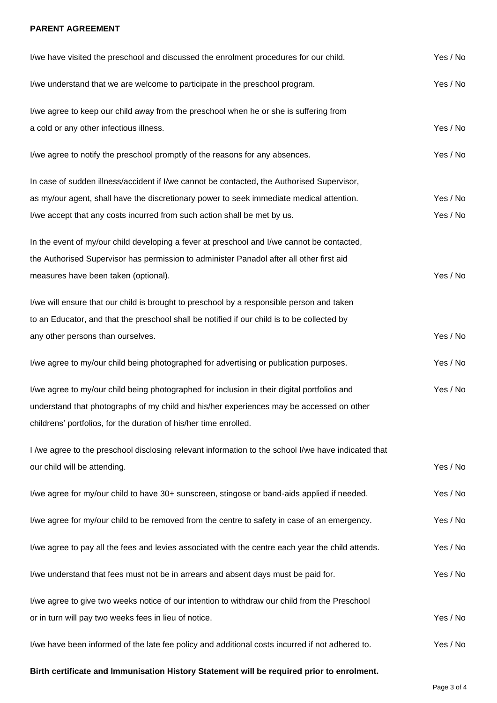# **PARENT AGREEMENT**

| I/we have visited the preschool and discussed the enrolment procedures for our child.               | Yes / No |
|-----------------------------------------------------------------------------------------------------|----------|
| I/we understand that we are welcome to participate in the preschool program.                        | Yes / No |
| I/we agree to keep our child away from the preschool when he or she is suffering from               |          |
| a cold or any other infectious illness.                                                             | Yes / No |
| I/we agree to notify the preschool promptly of the reasons for any absences.                        | Yes / No |
| In case of sudden illness/accident if I/we cannot be contacted, the Authorised Supervisor,          |          |
| as my/our agent, shall have the discretionary power to seek immediate medical attention.            | Yes / No |
| I/we accept that any costs incurred from such action shall be met by us.                            | Yes / No |
| In the event of my/our child developing a fever at preschool and I/we cannot be contacted,          |          |
| the Authorised Supervisor has permission to administer Panadol after all other first aid            |          |
| measures have been taken (optional).                                                                | Yes / No |
| I/we will ensure that our child is brought to preschool by a responsible person and taken           |          |
| to an Educator, and that the preschool shall be notified if our child is to be collected by         |          |
| any other persons than ourselves.                                                                   | Yes / No |
| I/we agree to my/our child being photographed for advertising or publication purposes.              | Yes / No |
| I/we agree to my/our child being photographed for inclusion in their digital portfolios and         | Yes / No |
| understand that photographs of my child and his/her experiences may be accessed on other            |          |
| childrens' portfolios, for the duration of his/her time enrolled.                                   |          |
| I /we agree to the preschool disclosing relevant information to the school I/we have indicated that |          |
| our child will be attending.                                                                        | Yes / No |
| I/we agree for my/our child to have 30+ sunscreen, stingose or band-aids applied if needed.         | Yes / No |
| I/we agree for my/our child to be removed from the centre to safety in case of an emergency.        | Yes / No |
| I/we agree to pay all the fees and levies associated with the centre each year the child attends.   | Yes / No |
| I/we understand that fees must not be in arrears and absent days must be paid for.                  | Yes / No |
| I/we agree to give two weeks notice of our intention to withdraw our child from the Preschool       |          |
| or in turn will pay two weeks fees in lieu of notice.                                               | Yes / No |
| I/we have been informed of the late fee policy and additional costs incurred if not adhered to.     | Yes / No |
|                                                                                                     |          |

**Birth certificate and Immunisation History Statement will be required prior to enrolment.**